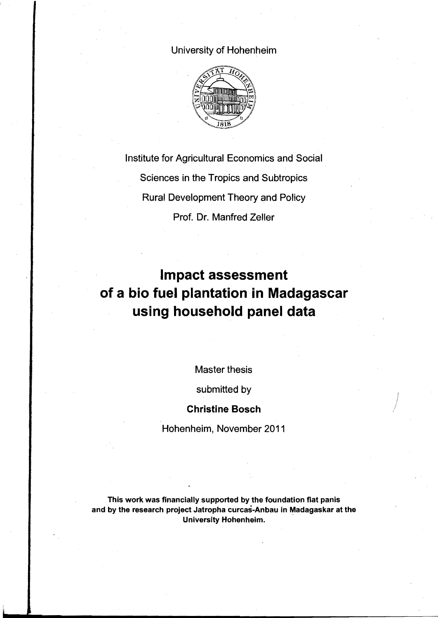## University of Hohenheim



Institute for Agricultural Economics and Social Sciences in the Tropics and Subtropics Rural Development Theory and Policy Prof. Dr. Manfred Zeller

## **Impact assessment of a bio fuel plantation in Madagascar using household panel data**

Master thesis

submitted by

## **Christine Bosch**

Hohenheim, November 2011

This work was financially supported by the foundation fiat panis and by the research project Jatropha curcas-Anbau in Madagaskar at the University Hohenheim.